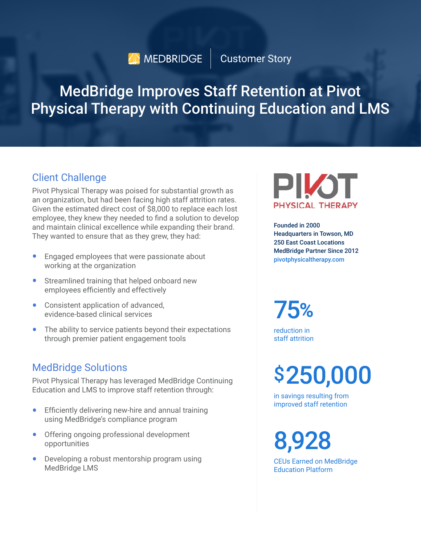# **AD** MEDBRIDGE | Customer Story

# MedBridge Improves Staff Retention at Pivot Physical Therapy with Continuing Education and LMS

### Client Challenge

Pivot Physical Therapy was poised for substantial growth as an organization, but had been facing high staff attrition rates. Given the estimated direct cost of \$8,000 to replace each lost employee, they knew they needed to find a solution to develop and maintain clinical excellence while expanding their brand. They wanted to ensure that as they grew, they had:

- Engaged employees that were passionate about working at the organization
- Streamlined training that helped onboard new employees efficiently and effectively
- Consistent application of advanced, evidence-based clinical services
- The ability to service patients beyond their expectations through premier patient engagement tools

### MedBridge Solutions

Pivot Physical Therapy has leveraged MedBridge Continuing Education and LMS to improve staff retention through:

- Efficiently delivering new-hire and annual training using MedBridge's compliance program
- Offering ongoing professional development opportunities
- Developing a robust mentorship program using MedBridge LMS



Founded in 2000 Headquarters in Towson, MD 250 East Coast Locations MedBridge Partner Since 2012 [pivotphysicaltherapy.com](http://pivotphysicaltherapy.com)

75**%**

reduction in staff attrition

\$250,000

in savings resulting from improved staff retention

8,928

CEUs Earned on MedBridge Education Platform